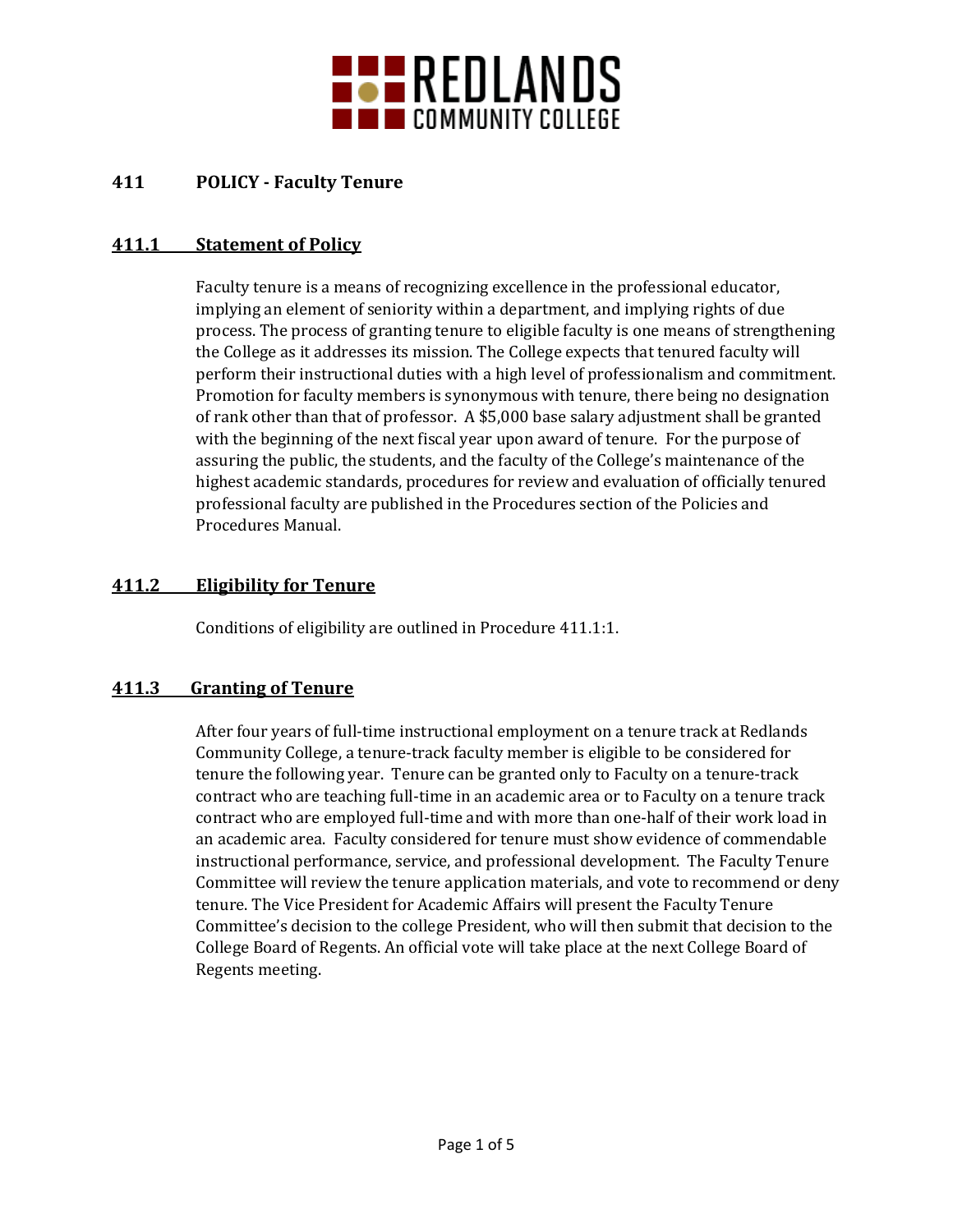

# **411 POLICY - Faculty Tenure**

## **411.1 Statement of Policy**

Faculty tenure is a means of recognizing excellence in the professional educator, implying an element of seniority within a department, and implying rights of due process. The process of granting tenure to eligible faculty is one means of strengthening the College as it addresses its mission. The College expects that tenured faculty will perform their instructional duties with a high level of professionalism and commitment. Promotion for faculty members is synonymous with tenure, there being no designation of rank other than that of professor. A \$5,000 base salary adjustment shall be granted with the beginning of the next fiscal year upon award of tenure. For the purpose of assuring the public, the students, and the faculty of the College's maintenance of the highest academic standards, procedures for review and evaluation of officially tenured professional faculty are published in the Procedures section of the Policies and Procedures Manual.

## **411.2 Eligibility for Tenure**

Conditions of eligibility are outlined in Procedure 411.1:1.

#### **411.3 Granting of Tenure**

After four years of full-time instructional employment on a tenure track at Redlands Community College, a tenure-track faculty member is eligible to be considered for tenure the following year. Tenure can be granted only to Faculty on a tenure-track contract who are teaching full-time in an academic area or to Faculty on a tenure track contract who are employed full-time and with more than one-half of their work load in an academic area. Faculty considered for tenure must show evidence of commendable instructional performance, service, and professional development. The Faculty Tenure Committee will review the tenure application materials, and vote to recommend or deny tenure. The Vice President for Academic Affairs will present the Faculty Tenure Committee's decision to the college President, who will then submit that decision to the College Board of Regents. An official vote will take place at the next College Board of Regents meeting.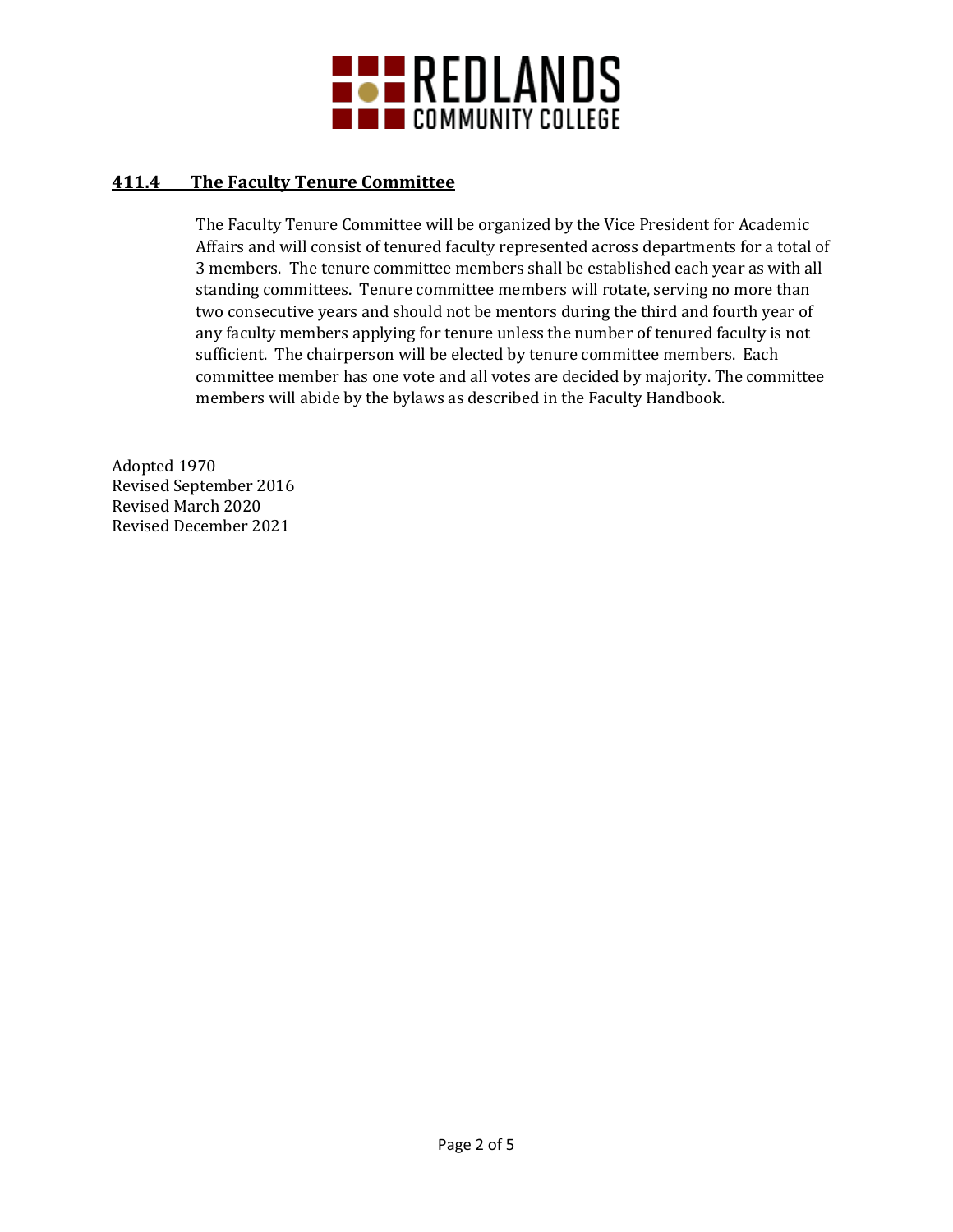

### **411.4 The Faculty Tenure Committee**

The Faculty Tenure Committee will be organized by the Vice President for Academic Affairs and will consist of tenured faculty represented across departments for a total of 3 members. The tenure committee members shall be established each year as with all standing committees. Tenure committee members will rotate, serving no more than two consecutive years and should not be mentors during the third and fourth year of any faculty members applying for tenure unless the number of tenured faculty is not sufficient. The chairperson will be elected by tenure committee members. Each committee member has one vote and all votes are decided by majority. The committee members will abide by the bylaws as described in the Faculty Handbook.

Adopted 1970 Revised September 2016 Revised March 2020 Revised December 2021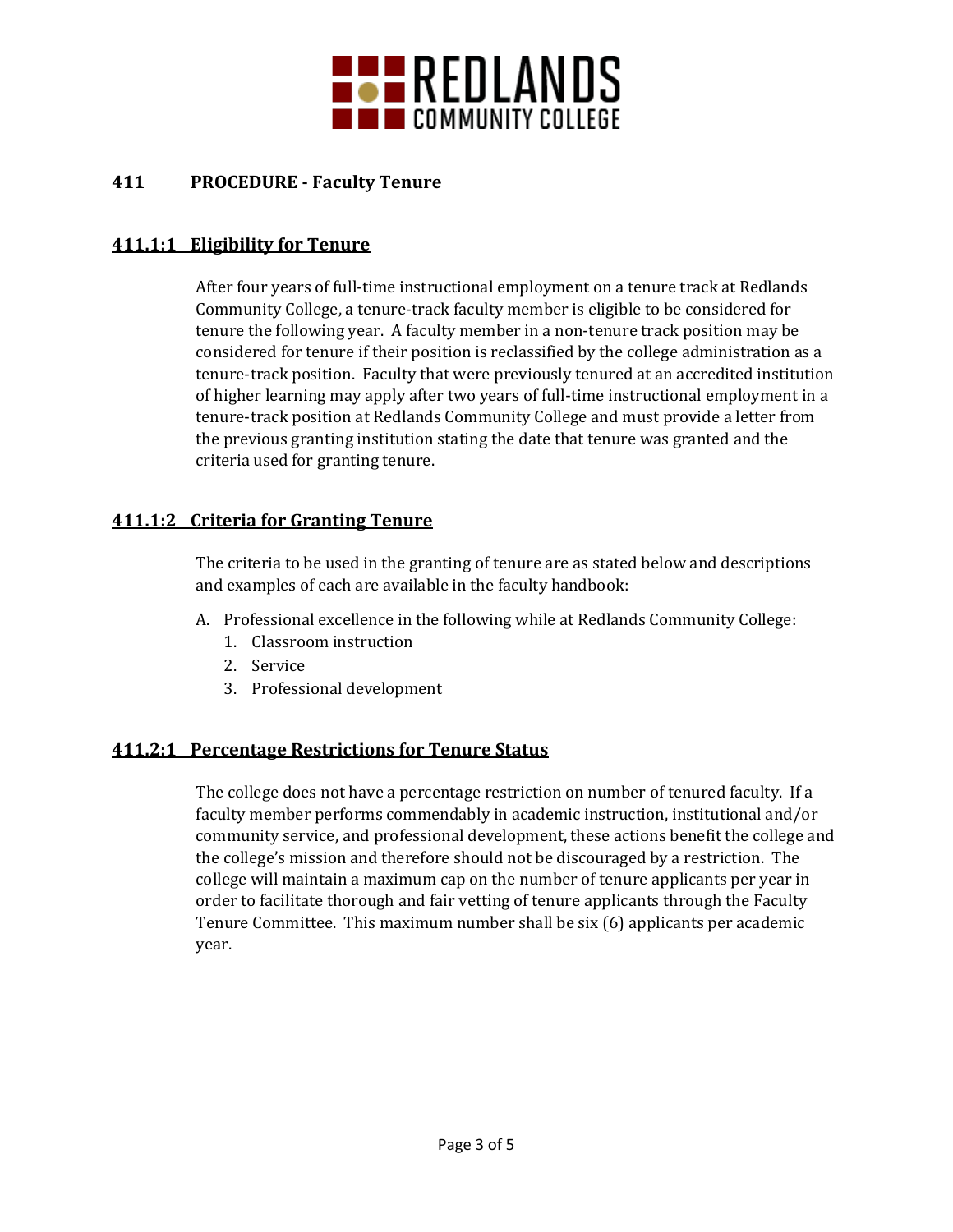

## **411 PROCEDURE - Faculty Tenure**

#### **411.1:1 Eligibility for Tenure**

After four years of full-time instructional employment on a tenure track at Redlands Community College, a tenure-track faculty member is eligible to be considered for tenure the following year. A faculty member in a non-tenure track position may be considered for tenure if their position is reclassified by the college administration as a tenure-track position. Faculty that were previously tenured at an accredited institution of higher learning may apply after two years of full-time instructional employment in a tenure-track position at Redlands Community College and must provide a letter from the previous granting institution stating the date that tenure was granted and the criteria used for granting tenure.

#### **411.1:2 Criteria for Granting Tenure**

The criteria to be used in the granting of tenure are as stated below and descriptions and examples of each are available in the faculty handbook:

- A. Professional excellence in the following while at Redlands Community College:
	- 1. Classroom instruction
	- 2. Service
	- 3. Professional development

#### **411.2:1 Percentage Restrictions for Tenure Status**

The college does not have a percentage restriction on number of tenured faculty. If a faculty member performs commendably in academic instruction, institutional and/or community service, and professional development, these actions benefit the college and the college's mission and therefore should not be discouraged by a restriction. The college will maintain a maximum cap on the number of tenure applicants per year in order to facilitate thorough and fair vetting of tenure applicants through the Faculty Tenure Committee. This maximum number shall be six (6) applicants per academic year.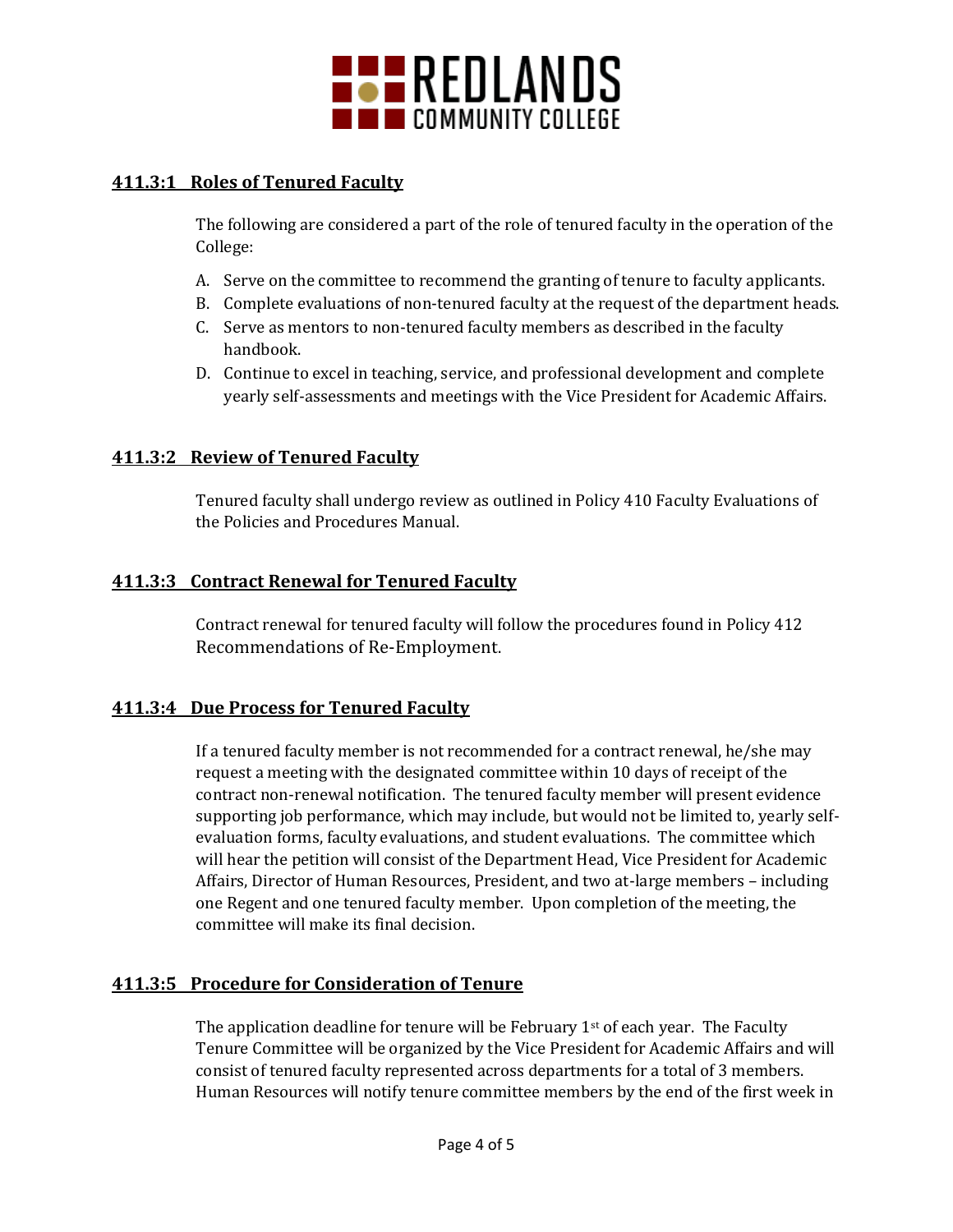

## **411.3:1 Roles of Tenured Faculty**

The following are considered a part of the role of tenured faculty in the operation of the College:

- A. Serve on the committee to recommend the granting of tenure to faculty applicants.
- B. Complete evaluations of non-tenured faculty at the request of the department heads.
- C. Serve as mentors to non-tenured faculty members as described in the faculty handbook.
- D. Continue to excel in teaching, service, and professional development and complete yearly self-assessments and meetings with the Vice President for Academic Affairs.

#### **411.3:2 Review of Tenured Faculty**

Tenured faculty shall undergo review as outlined in Policy 410 Faculty Evaluations of the Policies and Procedures Manual.

#### **411.3:3 Contract Renewal for Tenured Faculty**

Contract renewal for tenured faculty will follow the procedures found in Policy 412 Recommendations of Re-Employment.

#### **411.3:4 Due Process for Tenured Faculty**

If a tenured faculty member is not recommended for a contract renewal, he/she may request a meeting with the designated committee within 10 days of receipt of the contract non-renewal notification. The tenured faculty member will present evidence supporting job performance, which may include, but would not be limited to, yearly selfevaluation forms, faculty evaluations, and student evaluations. The committee which will hear the petition will consist of the Department Head, Vice President for Academic Affairs, Director of Human Resources, President, and two at-large members – including one Regent and one tenured faculty member. Upon completion of the meeting, the committee will make its final decision.

#### **411.3:5 Procedure for Consideration of Tenure**

The application deadline for tenure will be February  $1<sup>st</sup>$  of each year. The Faculty Tenure Committee will be organized by the Vice President for Academic Affairs and will consist of tenured faculty represented across departments for a total of 3 members. Human Resources will notify tenure committee members by the end of the first week in